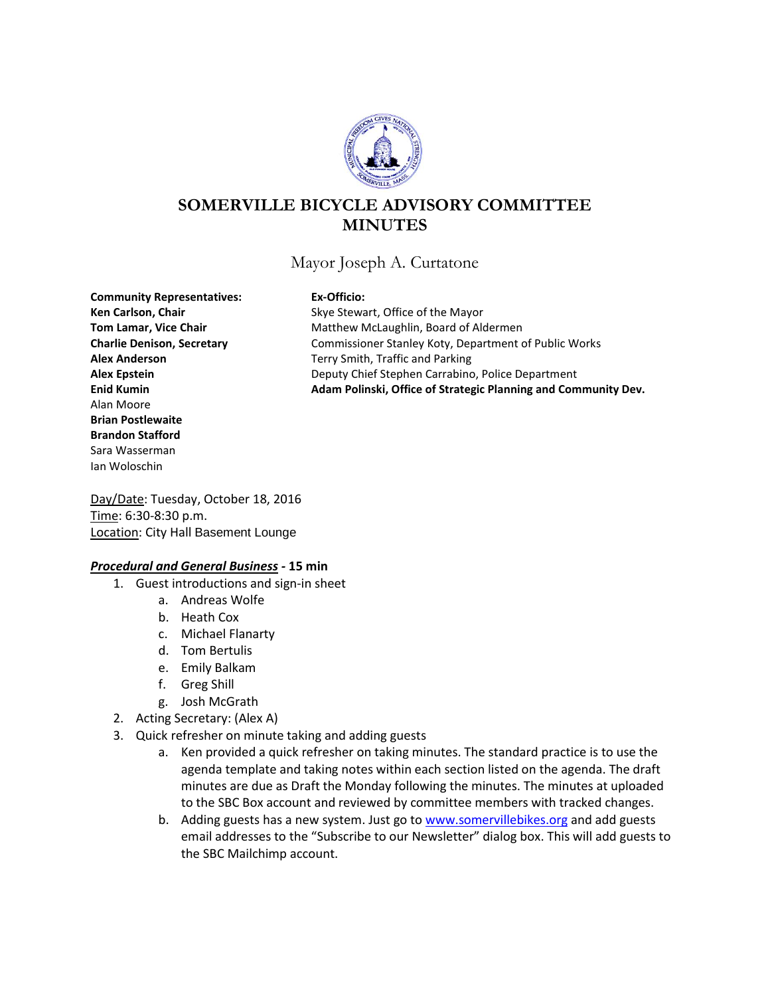

# **SOMERVILLE BICYCLE ADVISORY COMMITTEE MINUTES**

Mayor Joseph A. Curtatone

**Community Representatives: Ex-Officio:** Alan Moore **Brian Postlewaite Brandon Stafford** Sara Wasserman Ian Woloschin

Ken Carlson, Chair **Ken Carlson, Chair** Skye Stewart, Office of the Mayor **Tom Lamar, Vice Chair** Matthew McLaughlin, Board of Aldermen **Charlie Denison, Secretary** Commissioner Stanley Koty, Department of Public Works **Alex Anderson** Terry Smith, Traffic and Parking **Alex Epstein** Deputy Chief Stephen Carrabino, Police Department **Enid Kumin Adam Polinski, Office of Strategic Planning and Community Dev.**

Day/Date: Tuesday, October 18, 2016 Time: 6:30-8:30 p.m. Location: City Hall Basement Lounge

### *Procedural and General Business -* **15 min**

- 1. Guest introductions and sign-in sheet
	- a. Andreas Wolfe
	- b. Heath Cox
	- c. Michael Flanarty
	- d. Tom Bertulis
	- e. Emily Balkam
	- f. Greg Shill
	- g. Josh McGrath
- 2. Acting Secretary: (Alex A)
- 3. Quick refresher on minute taking and adding guests
	- a. Ken provided a quick refresher on taking minutes. The standard practice is to use the agenda template and taking notes within each section listed on the agenda. The draft minutes are due as Draft the Monday following the minutes. The minutes at uploaded to the SBC Box account and reviewed by committee members with tracked changes.
	- b. Adding guests has a new system. Just go to [www.somervillebikes.org](http://www.somervillebikes.org/) and add guests email addresses to the "Subscribe to our Newsletter" dialog box. This will add guests to the SBC Mailchimp account.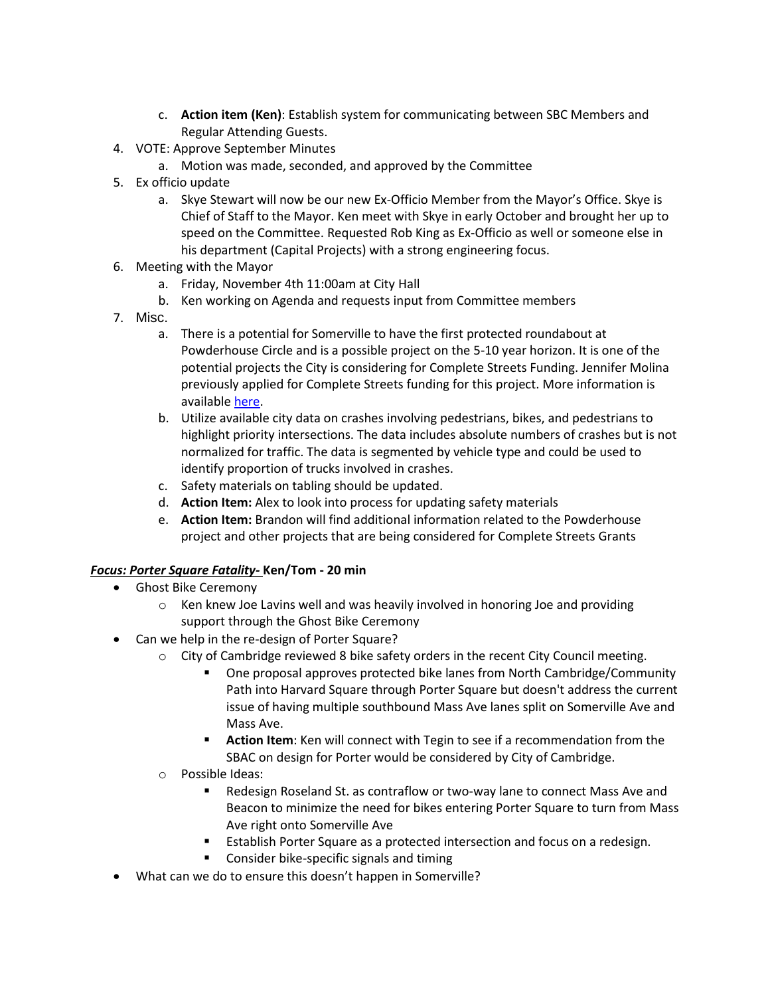- c. **Action item (Ken)**: Establish system for communicating between SBC Members and Regular Attending Guests.
- 4. VOTE: Approve September Minutes
	- a. Motion was made, seconded, and approved by the Committee
- 5. Ex officio update
	- a. Skye Stewart will now be our new Ex-Officio Member from the Mayor's Office. Skye is Chief of Staff to the Mayor. Ken meet with Skye in early October and brought her up to speed on the Committee. Requested Rob King as Ex-Officio as well or someone else in his department (Capital Projects) with a strong engineering focus.
- 6. Meeting with the Mayor
	- a. Friday, November 4th 11:00am at City Hall
	- b. Ken working on Agenda and requests input from Committee members
- 7. Misc.
	- a. There is a potential for Somerville to have the first protected roundabout at Powderhouse Circle and is a possible project on the 5-10 year horizon. It is one of the potential projects the City is considering for Complete Streets Funding. Jennifer Molina previously applied for Complete Streets funding for this project. More information is available [here.](https://app.box.com/files/0/f/4389943654/1/f_95702408877)
	- b. Utilize available city data on crashes involving pedestrians, bikes, and pedestrians to highlight priority intersections. The data includes absolute numbers of crashes but is not normalized for traffic. The data is segmented by vehicle type and could be used to identify proportion of trucks involved in crashes.
	- c. Safety materials on tabling should be updated.
	- d. **Action Item:** Alex to look into process for updating safety materials
	- e. **Action Item:** Brandon will find additional information related to the Powderhouse project and other projects that are being considered for Complete Streets Grants

# *Focus: Porter Square Fatality-* **Ken/Tom - 20 min**

- Ghost Bike Ceremony
	- $\circ$  Ken knew Joe Lavins well and was heavily involved in honoring Joe and providing support through the Ghost Bike Ceremony
- Can we help in the re-design of Porter Square?
	- $\circ$  City of Cambridge reviewed 8 bike safety orders in the recent City Council meeting.
		- One proposal approves protected bike lanes from North Cambridge/Community Path into Harvard Square through Porter Square but doesn't address the current issue of having multiple southbound Mass Ave lanes split on Somerville Ave and Mass Ave.
		- **Action Item**: Ken will connect with Tegin to see if a recommendation from the SBAC on design for Porter would be considered by City of Cambridge.
	- o Possible Ideas:
		- Redesign Roseland St. as contraflow or two-way lane to connect Mass Ave and Beacon to minimize the need for bikes entering Porter Square to turn from Mass Ave right onto Somerville Ave
		- Establish Porter Square as a protected intersection and focus on a redesign.
		- **EXECONS** Consider bike-specific signals and timing
- What can we do to ensure this doesn't happen in Somerville?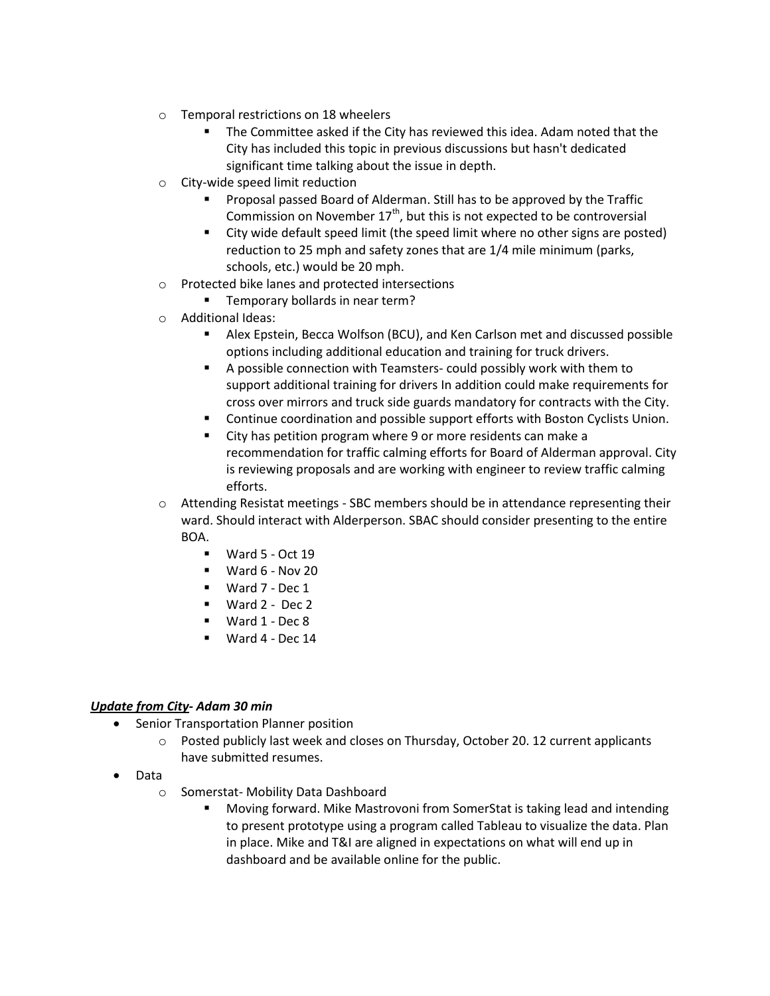- o Temporal restrictions on 18 wheelers
	- The Committee asked if the City has reviewed this idea. Adam noted that the City has included this topic in previous discussions but hasn't dedicated significant time talking about the issue in depth.
- o City-wide speed limit reduction
	- Proposal passed Board of Alderman. Still has to be approved by the Traffic Commission on November  $17<sup>th</sup>$ , but this is not expected to be controversial
	- City wide default speed limit (the speed limit where no other signs are posted) reduction to 25 mph and safety zones that are 1/4 mile minimum (parks, schools, etc.) would be 20 mph.
- o Protected bike lanes and protected intersections
	- Temporary bollards in near term?
- o Additional Ideas:
	- Alex Epstein, Becca Wolfson (BCU), and Ken Carlson met and discussed possible options including additional education and training for truck drivers.
	- A possible connection with Teamsters- could possibly work with them to support additional training for drivers In addition could make requirements for cross over mirrors and truck side guards mandatory for contracts with the City.
	- Continue coordination and possible support efforts with Boston Cyclists Union.
	- City has petition program where 9 or more residents can make a recommendation for traffic calming efforts for Board of Alderman approval. City is reviewing proposals and are working with engineer to review traffic calming efforts.
- $\circ$  Attending Resistat meetings SBC members should be in attendance representing their ward. Should interact with Alderperson. SBAC should consider presenting to the entire BOA.
	- $\blacksquare$  Ward 5 Oct 19
	- $\blacksquare$  Ward 6 Nov 20
	- Ward 7 Dec 1
	- $Ward 2 Dec 2$
	- Ward 1 Dec 8
	- Ward 4 Dec 14

### *Update from City- Adam 30 min*

- Senior Transportation Planner position
	- o Posted publicly last week and closes on Thursday, October 20. 12 current applicants have submitted resumes.
- Data
	- o Somerstat- Mobility Data Dashboard
		- Moving forward. Mike Mastrovoni from SomerStat is taking lead and intending to present prototype using a program called Tableau to visualize the data. Plan in place. Mike and T&I are aligned in expectations on what will end up in dashboard and be available online for the public.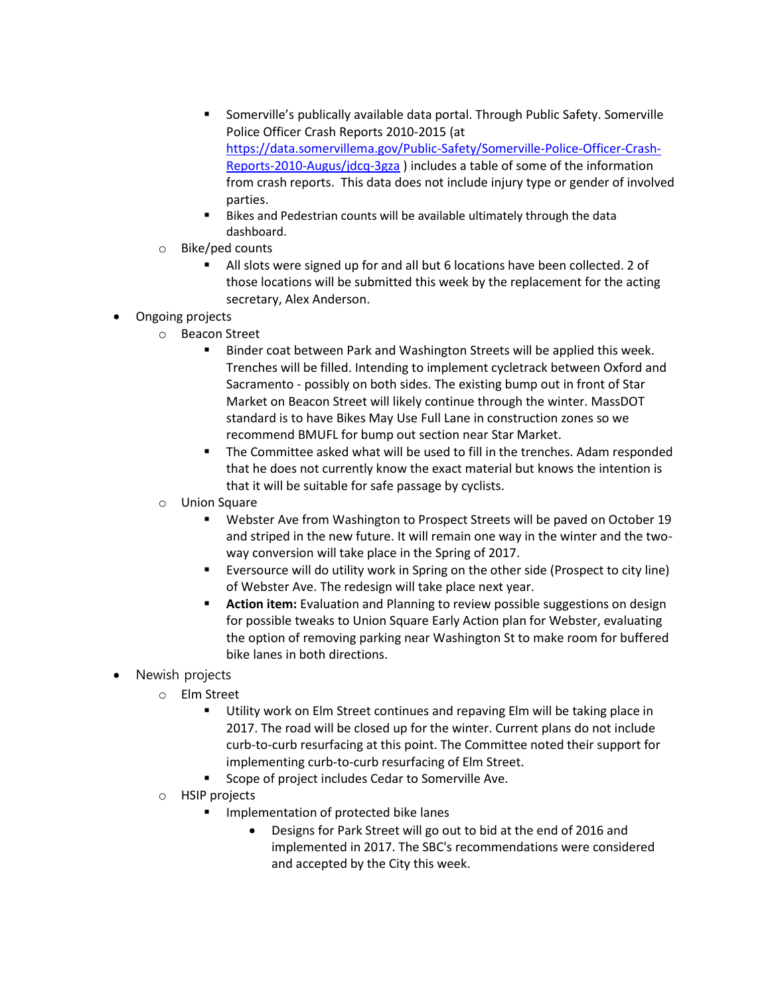- Somerville's publically available data portal. Through Public Safety. Somerville Police Officer Crash Reports 2010-2015 (at [https://data.somervillema.gov/Public-Safety/Somerville-Police-Officer-Crash-](https://data.somervillema.gov/Public-Safety/Somerville-Police-Officer-Crash-Reports-2010-Augus/jdcq-3gza)[Reports-2010-Augus/jdcq-3gza](https://data.somervillema.gov/Public-Safety/Somerville-Police-Officer-Crash-Reports-2010-Augus/jdcq-3gza) ) includes a table of some of the information from crash reports. This data does not include injury type or gender of involved parties.
- Bikes and Pedestrian counts will be available ultimately through the data dashboard.
- o Bike/ped counts
	- All slots were signed up for and all but 6 locations have been collected. 2 of those locations will be submitted this week by the replacement for the acting secretary, Alex Anderson.
- Ongoing projects
	- o Beacon Street
		- **Binder coat between Park and Washington Streets will be applied this week.** Trenches will be filled. Intending to implement cycletrack between Oxford and Sacramento - possibly on both sides. The existing bump out in front of Star Market on Beacon Street will likely continue through the winter. MassDOT standard is to have Bikes May Use Full Lane in construction zones so we recommend BMUFL for bump out section near Star Market.
		- The Committee asked what will be used to fill in the trenches. Adam responded that he does not currently know the exact material but knows the intention is that it will be suitable for safe passage by cyclists.
	- o Union Square
		- Webster Ave from Washington to Prospect Streets will be paved on October 19 and striped in the new future. It will remain one way in the winter and the twoway conversion will take place in the Spring of 2017.
		- Eversource will do utility work in Spring on the other side (Prospect to city line) of Webster Ave. The redesign will take place next year.
		- **Action item:** Evaluation and Planning to review possible suggestions on design for possible tweaks to Union Square Early Action plan for Webster, evaluating the option of removing parking near Washington St to make room for buffered bike lanes in both directions.
- Newish projects
	- o Elm Street
		- **Utility work on Elm Street continues and repaving Elm will be taking place in** 2017. The road will be closed up for the winter. Current plans do not include curb-to-curb resurfacing at this point. The Committee noted their support for implementing curb-to-curb resurfacing of Elm Street.
		- Scope of project includes Cedar to Somerville Ave.
	- o HSIP projects
		- **IMPLEMENTER IMPLEMENT CONTEX IS A LIM** Implementation of protected bike lanes
			- Designs for Park Street will go out to bid at the end of 2016 and implemented in 2017. The SBC's recommendations were considered and accepted by the City this week.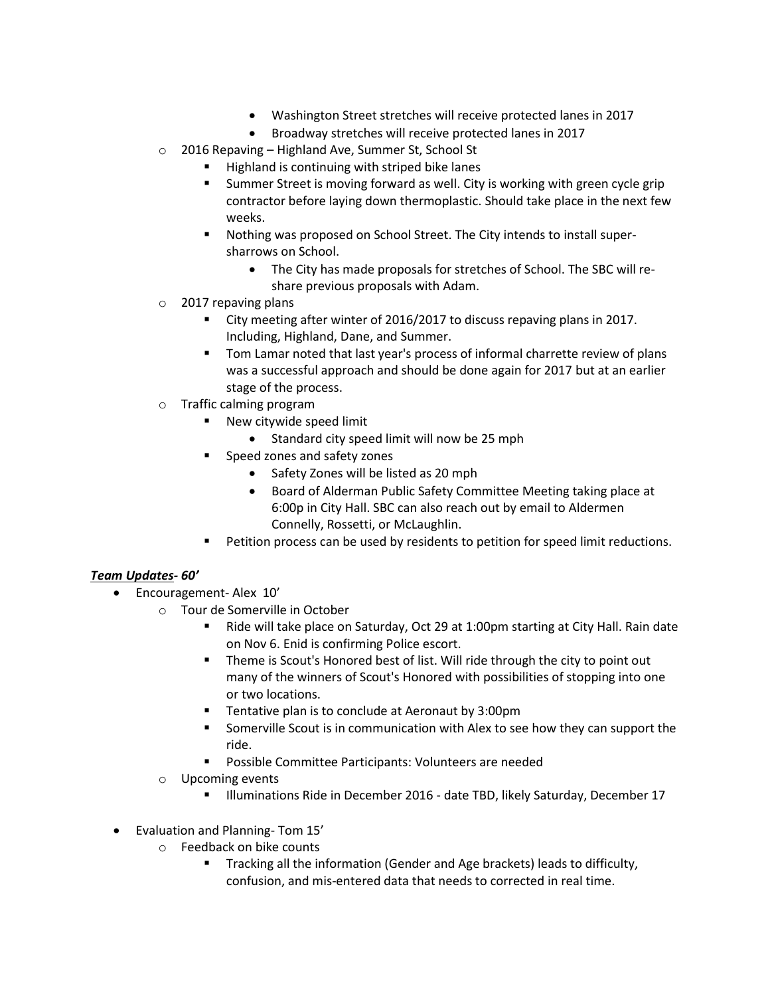- Washington Street stretches will receive protected lanes in 2017
- Broadway stretches will receive protected lanes in 2017
- o 2016 Repaving Highland Ave, Summer St, School St
	- **Highland is continuing with striped bike lanes**
	- Summer Street is moving forward as well. City is working with green cycle grip contractor before laying down thermoplastic. Should take place in the next few weeks.
	- Nothing was proposed on School Street. The City intends to install supersharrows on School.
		- The City has made proposals for stretches of School. The SBC will reshare previous proposals with Adam.
- o 2017 repaving plans
	- City meeting after winter of 2016/2017 to discuss repaving plans in 2017. Including, Highland, Dane, and Summer.
	- Tom Lamar noted that last year's process of informal charrette review of plans was a successful approach and should be done again for 2017 but at an earlier stage of the process.
- o Traffic calming program
	- **New citywide speed limit** 
		- Standard city speed limit will now be 25 mph
	- **Speed zones and safety zones** 
		- Safety Zones will be listed as 20 mph
		- Board of Alderman Public Safety Committee Meeting taking place at 6:00p in City Hall. SBC can also reach out by email to Aldermen Connelly, Rossetti, or McLaughlin.
	- Petition process can be used by residents to petition for speed limit reductions.

# *Team Updates- 60'*

- Encouragement-Alex 10'
	- o Tour de Somerville in October
		- Ride will take place on Saturday, Oct 29 at 1:00pm starting at City Hall. Rain date on Nov 6. Enid is confirming Police escort.
		- Theme is Scout's Honored best of list. Will ride through the city to point out many of the winners of Scout's Honored with possibilities of stopping into one or two locations.
		- Tentative plan is to conclude at Aeronaut by 3:00pm
		- Somerville Scout is in communication with Alex to see how they can support the ride.
		- Possible Committee Participants: Volunteers are needed
	- o Upcoming events
		- Illuminations Ride in December 2016 date TBD, likely Saturday, December 17
- Evaluation and Planning- Tom 15'
	- o Feedback on bike counts
		- **Tracking all the information (Gender and Age brackets) leads to difficulty,** confusion, and mis-entered data that needs to corrected in real time.